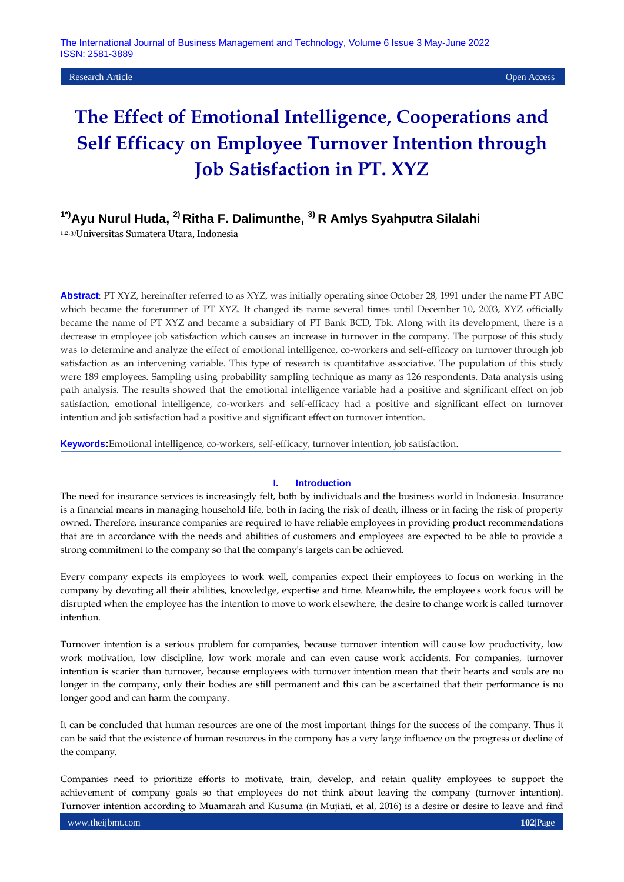#### **Research Article Open Access Contract Contract Contract Contract Contract Contract Contract Contract Contract Contract Contract Contract Contract Contract Contract Contract Contract Contract Contract Contract Contract C**

# **The Effect of Emotional Intelligence, Cooperations and Self Efficacy on Employee Turnover Intention through Job Satisfaction in PT. XYZ**

## **1\*)Ayu Nurul Huda, 2) Ritha F. Dalimunthe, 3) R Amlys Syahputra Silalahi**

1,2,3)Universitas Sumatera Utara, Indonesia

**Abstract**: PT XYZ, hereinafter referred to as XYZ, was initially operating since October 28, 1991 under the name PT ABC which became the forerunner of PT XYZ. It changed its name several times until December 10, 2003, XYZ officially became the name of PT XYZ and became a subsidiary of PT Bank BCD, Tbk. Along with its development, there is a decrease in employee job satisfaction which causes an increase in turnover in the company. The purpose of this study was to determine and analyze the effect of emotional intelligence, co-workers and self-efficacy on turnover through job satisfaction as an intervening variable. This type of research is quantitative associative. The population of this study were 189 employees. Sampling using probability sampling technique as many as 126 respondents. Data analysis using path analysis. The results showed that the emotional intelligence variable had a positive and significant effect on job satisfaction, emotional intelligence, co-workers and self-efficacy had a positive and significant effect on turnover intention and job satisfaction had a positive and significant effect on turnover intention.

**Keywords:**Emotional intelligence, co-workers, self-efficacy, turnover intention, job satisfaction.

#### **I. Introduction**

The need for insurance services is increasingly felt, both by individuals and the business world in Indonesia. Insurance is a financial means in managing household life, both in facing the risk of death, illness or in facing the risk of property owned. Therefore, insurance companies are required to have reliable employees in providing product recommendations that are in accordance with the needs and abilities of customers and employees are expected to be able to provide a strong commitment to the company so that the company's targets can be achieved.

Every company expects its employees to work well, companies expect their employees to focus on working in the company by devoting all their abilities, knowledge, expertise and time. Meanwhile, the employee's work focus will be disrupted when the employee has the intention to move to work elsewhere, the desire to change work is called turnover intention.

Turnover intention is a serious problem for companies, because turnover intention will cause low productivity, low work motivation, low discipline, low work morale and can even cause work accidents. For companies, turnover intention is scarier than turnover, because employees with turnover intention mean that their hearts and souls are no longer in the company, only their bodies are still permanent and this can be ascertained that their performance is no longer good and can harm the company.

It can be concluded that human resources are one of the most important things for the success of the company. Thus it can be said that the existence of human resources in the company has a very large influence on the progress or decline of the company.

Companies need to prioritize efforts to motivate, train, develop, and retain quality employees to support the achievement of company goals so that employees do not think about leaving the company (turnover intention). Turnover intention according to Muamarah and Kusuma (in Mujiati, et al, 2016) is a desire or desire to leave and find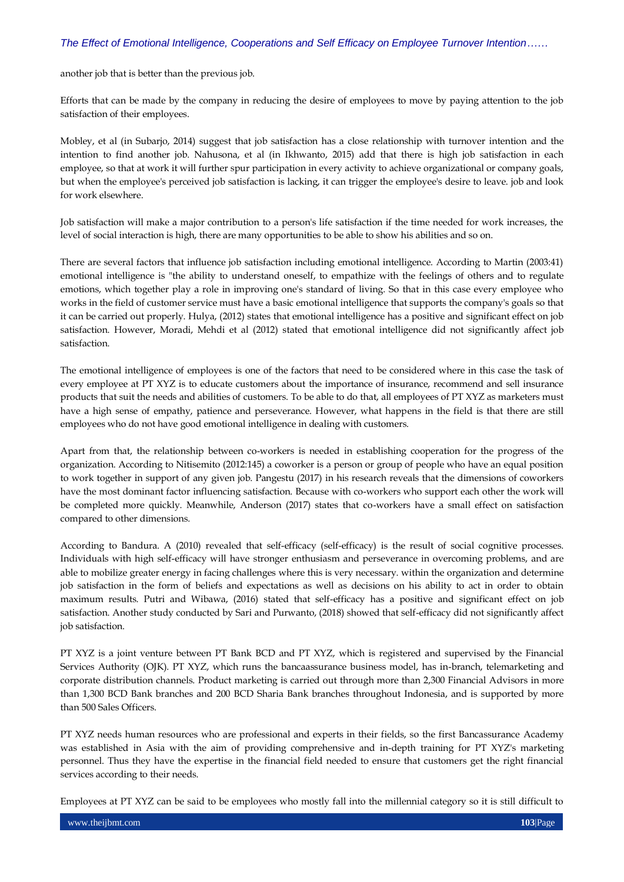another job that is better than the previous job.

Efforts that can be made by the company in reducing the desire of employees to move by paying attention to the job satisfaction of their employees.

Mobley, et al (in Subarjo, 2014) suggest that job satisfaction has a close relationship with turnover intention and the intention to find another job. Nahusona, et al (in Ikhwanto, 2015) add that there is high job satisfaction in each employee, so that at work it will further spur participation in every activity to achieve organizational or company goals, but when the employee's perceived job satisfaction is lacking, it can trigger the employee's desire to leave. job and look for work elsewhere.

Job satisfaction will make a major contribution to a person's life satisfaction if the time needed for work increases, the level of social interaction is high, there are many opportunities to be able to show his abilities and so on.

There are several factors that influence job satisfaction including emotional intelligence. According to Martin (2003:41) emotional intelligence is "the ability to understand oneself, to empathize with the feelings of others and to regulate emotions, which together play a role in improving one's standard of living. So that in this case every employee who works in the field of customer service must have a basic emotional intelligence that supports the company's goals so that it can be carried out properly. Hulya, (2012) states that emotional intelligence has a positive and significant effect on job satisfaction. However, Moradi, Mehdi et al (2012) stated that emotional intelligence did not significantly affect job satisfaction.

The emotional intelligence of employees is one of the factors that need to be considered where in this case the task of every employee at PT XYZ is to educate customers about the importance of insurance, recommend and sell insurance products that suit the needs and abilities of customers. To be able to do that, all employees of PT XYZ as marketers must have a high sense of empathy, patience and perseverance. However, what happens in the field is that there are still employees who do not have good emotional intelligence in dealing with customers.

Apart from that, the relationship between co-workers is needed in establishing cooperation for the progress of the organization. According to Nitisemito (2012:145) a coworker is a person or group of people who have an equal position to work together in support of any given job. Pangestu (2017) in his research reveals that the dimensions of coworkers have the most dominant factor influencing satisfaction. Because with co-workers who support each other the work will be completed more quickly. Meanwhile, Anderson (2017) states that co-workers have a small effect on satisfaction compared to other dimensions.

According to Bandura. A (2010) revealed that self-efficacy (self-efficacy) is the result of social cognitive processes. Individuals with high self-efficacy will have stronger enthusiasm and perseverance in overcoming problems, and are able to mobilize greater energy in facing challenges where this is very necessary. within the organization and determine job satisfaction in the form of beliefs and expectations as well as decisions on his ability to act in order to obtain maximum results. Putri and Wibawa, (2016) stated that self-efficacy has a positive and significant effect on job satisfaction. Another study conducted by Sari and Purwanto, (2018) showed that self-efficacy did not significantly affect job satisfaction.

PT XYZ is a joint venture between PT Bank BCD and PT XYZ, which is registered and supervised by the Financial Services Authority (OJK). PT XYZ, which runs the bancaassurance business model, has in-branch, telemarketing and corporate distribution channels. Product marketing is carried out through more than 2,300 Financial Advisors in more than 1,300 BCD Bank branches and 200 BCD Sharia Bank branches throughout Indonesia, and is supported by more than 500 Sales Officers.

PT XYZ needs human resources who are professional and experts in their fields, so the first Bancassurance Academy was established in Asia with the aim of providing comprehensive and in-depth training for PT XYZ's marketing personnel. Thus they have the expertise in the financial field needed to ensure that customers get the right financial services according to their needs.

Employees at PT XYZ can be said to be employees who mostly fall into the millennial category so it is still difficult to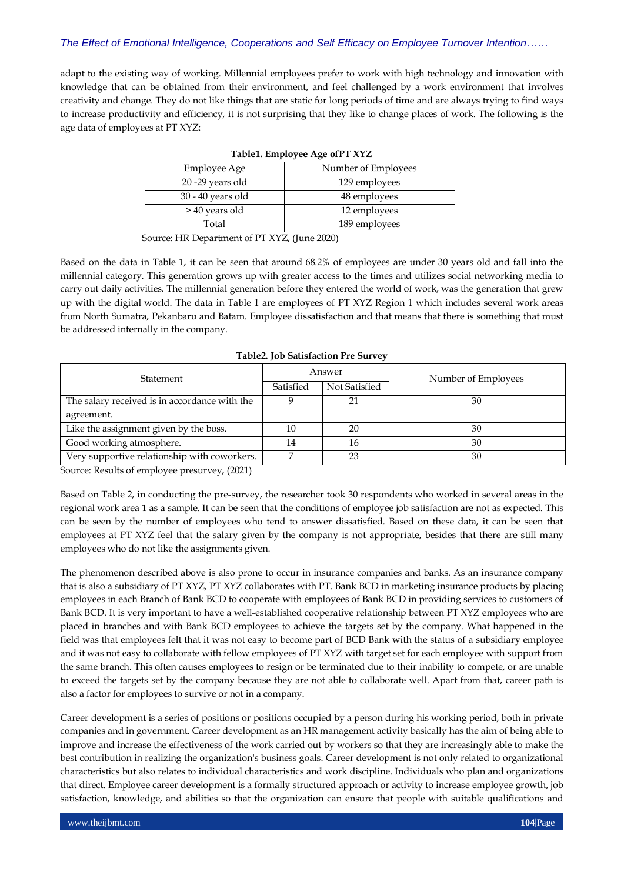adapt to the existing way of working. Millennial employees prefer to work with high technology and innovation with knowledge that can be obtained from their environment, and feel challenged by a work environment that involves creativity and change. They do not like things that are static for long periods of time and are always trying to find ways to increase productivity and efficiency, it is not surprising that they like to change places of work. The following is the age data of employees at PT XYZ:

| <b>Employee Age</b> | Number of Employees |
|---------------------|---------------------|
| 20 -29 years old    | 129 employees       |
| $30 - 40$ years old | 48 employees        |
| > 40 years old      | 12 employees        |
| Total               | 189 employees       |

|  | Table1. Employee Age ofPT XYZ |  |
|--|-------------------------------|--|
|  |                               |  |

Source: HR Department of PT XYZ, (June 2020)

Based on the data in Table 1, it can be seen that around 68.2% of employees are under 30 years old and fall into the millennial category. This generation grows up with greater access to the times and utilizes social networking media to carry out daily activities. The millennial generation before they entered the world of work, was the generation that grew up with the digital world. The data in Table 1 are employees of PT XYZ Region 1 which includes several work areas from North Sumatra, Pekanbaru and Batam. Employee dissatisfaction and that means that there is something that must be addressed internally in the company.

| Statement                                     | Answer    |               | Number of Employees |  |
|-----------------------------------------------|-----------|---------------|---------------------|--|
|                                               | Satisfied | Not Satisfied |                     |  |
| The salary received is in accordance with the |           | 21            | 30                  |  |
| agreement.                                    |           |               |                     |  |
| Like the assignment given by the boss.        | 10        | 20            | 30                  |  |
| Good working atmosphere.                      | 14        | 16            | 30                  |  |
| Very supportive relationship with coworkers.  |           | 23            | 30                  |  |

**Table2. Job Satisfaction Pre Survey**

Source: Results of employee presurvey, (2021)

Based on Table 2, in conducting the pre-survey, the researcher took 30 respondents who worked in several areas in the regional work area 1 as a sample. It can be seen that the conditions of employee job satisfaction are not as expected. This can be seen by the number of employees who tend to answer dissatisfied. Based on these data, it can be seen that employees at PT XYZ feel that the salary given by the company is not appropriate, besides that there are still many employees who do not like the assignments given.

The phenomenon described above is also prone to occur in insurance companies and banks. As an insurance company that is also a subsidiary of PT XYZ, PT XYZ collaborates with PT. Bank BCD in marketing insurance products by placing employees in each Branch of Bank BCD to cooperate with employees of Bank BCD in providing services to customers of Bank BCD. It is very important to have a well-established cooperative relationship between PT XYZ employees who are placed in branches and with Bank BCD employees to achieve the targets set by the company. What happened in the field was that employees felt that it was not easy to become part of BCD Bank with the status of a subsidiary employee and it was not easy to collaborate with fellow employees of PT XYZ with target set for each employee with support from the same branch. This often causes employees to resign or be terminated due to their inability to compete, or are unable to exceed the targets set by the company because they are not able to collaborate well. Apart from that, career path is also a factor for employees to survive or not in a company.

Career development is a series of positions or positions occupied by a person during his working period, both in private companies and in government. Career development as an HR management activity basically has the aim of being able to improve and increase the effectiveness of the work carried out by workers so that they are increasingly able to make the best contribution in realizing the organization's business goals. Career development is not only related to organizational characteristics but also relates to individual characteristics and work discipline. Individuals who plan and organizations that direct. Employee career development is a formally structured approach or activity to increase employee growth, job satisfaction, knowledge, and abilities so that the organization can ensure that people with suitable qualifications and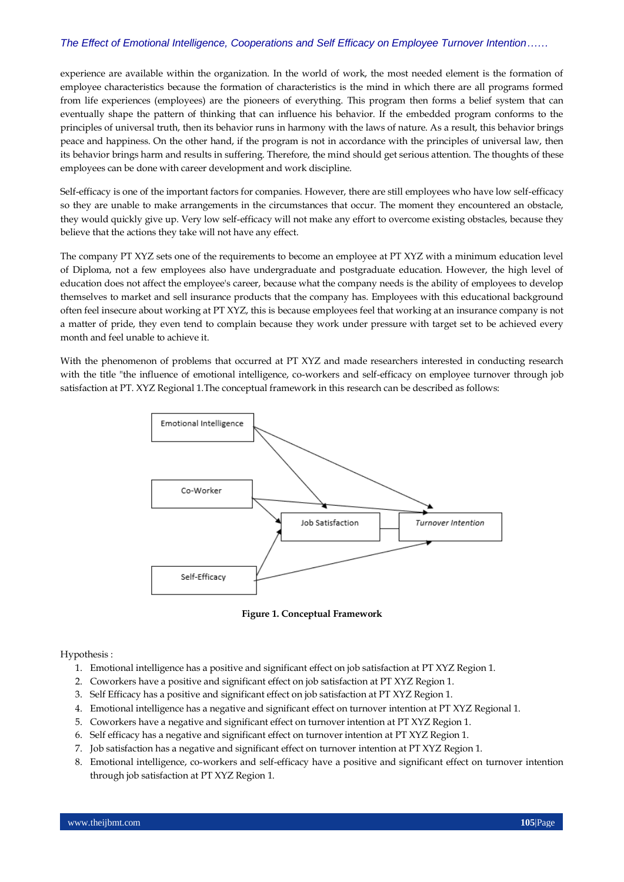experience are available within the organization. In the world of work, the most needed element is the formation of employee characteristics because the formation of characteristics is the mind in which there are all programs formed from life experiences (employees) are the pioneers of everything. This program then forms a belief system that can eventually shape the pattern of thinking that can influence his behavior. If the embedded program conforms to the principles of universal truth, then its behavior runs in harmony with the laws of nature. As a result, this behavior brings peace and happiness. On the other hand, if the program is not in accordance with the principles of universal law, then its behavior brings harm and results in suffering. Therefore, the mind should get serious attention. The thoughts of these employees can be done with career development and work discipline.

Self-efficacy is one of the important factors for companies. However, there are still employees who have low self-efficacy so they are unable to make arrangements in the circumstances that occur. The moment they encountered an obstacle, they would quickly give up. Very low self-efficacy will not make any effort to overcome existing obstacles, because they believe that the actions they take will not have any effect.

The company PT XYZ sets one of the requirements to become an employee at PT XYZ with a minimum education level of Diploma, not a few employees also have undergraduate and postgraduate education. However, the high level of education does not affect the employee's career, because what the company needs is the ability of employees to develop themselves to market and sell insurance products that the company has. Employees with this educational background often feel insecure about working at PT XYZ, this is because employees feel that working at an insurance company is not a matter of pride, they even tend to complain because they work under pressure with target set to be achieved every month and feel unable to achieve it.

With the phenomenon of problems that occurred at PT XYZ and made researchers interested in conducting research with the title "the influence of emotional intelligence, co-workers and self-efficacy on employee turnover through job satisfaction at PT. XYZ Regional 1.The conceptual framework in this research can be described as follows:



**Figure 1. Conceptual Framework**

Hypothesis :

- 1. Emotional intelligence has a positive and significant effect on job satisfaction at PT XYZ Region 1.
- 2. Coworkers have a positive and significant effect on job satisfaction at PT XYZ Region 1.
- 3. Self Efficacy has a positive and significant effect on job satisfaction at PT XYZ Region 1.
- 4. Emotional intelligence has a negative and significant effect on turnover intention at PT XYZ Regional 1.
- 5. Coworkers have a negative and significant effect on turnover intention at PT XYZ Region 1.
- 6. Self efficacy has a negative and significant effect on turnover intention at PT XYZ Region 1.
- 7. Job satisfaction has a negative and significant effect on turnover intention at PT XYZ Region 1.
- 8. Emotional intelligence, co-workers and self-efficacy have a positive and significant effect on turnover intention through job satisfaction at PT XYZ Region 1.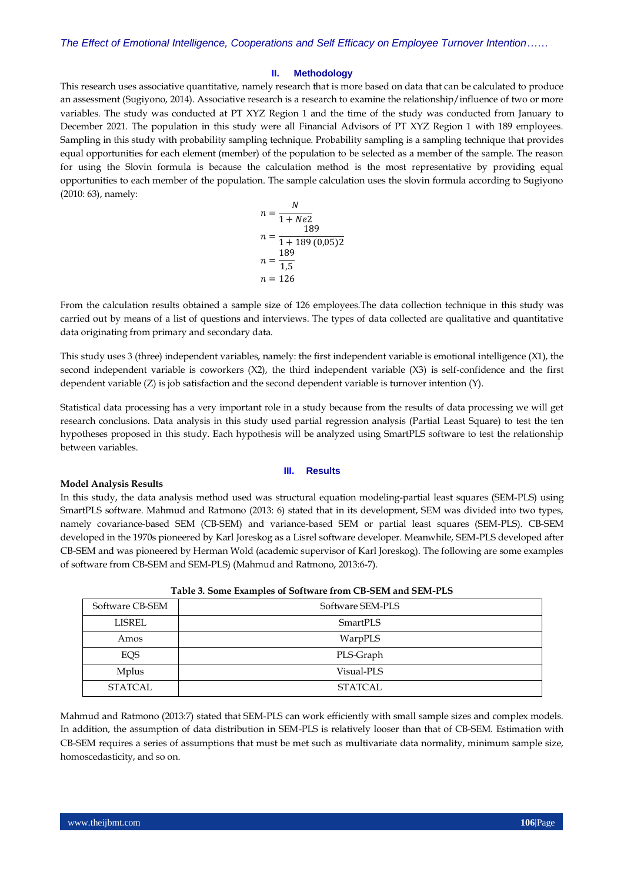#### **II. Methodology**

This research uses associative quantitative, namely research that is more based on data that can be calculated to produce an assessment (Sugiyono, 2014). Associative research is a research to examine the relationship/influence of two or more variables. The study was conducted at PT XYZ Region 1 and the time of the study was conducted from January to December 2021. The population in this study were all Financial Advisors of PT XYZ Region 1 with 189 employees. Sampling in this study with probability sampling technique. Probability sampling is a sampling technique that provides equal opportunities for each element (member) of the population to be selected as a member of the sample. The reason for using the Slovin formula is because the calculation method is the most representative by providing equal opportunities to each member of the population. The sample calculation uses the slovin formula according to Sugiyono (2010: 63), namely:

$$
n = \frac{N}{1 + Ne2}
$$
  
\n
$$
n = \frac{189}{1 + 189 (0,05)2}
$$
  
\n
$$
n = \frac{189}{1,5}
$$
  
\n
$$
n = 126
$$

From the calculation results obtained a sample size of 126 employees.The data collection technique in this study was carried out by means of a list of questions and interviews. The types of data collected are qualitative and quantitative data originating from primary and secondary data.

This study uses 3 (three) independent variables, namely: the first independent variable is emotional intelligence (X1), the second independent variable is coworkers (X2), the third independent variable (X3) is self-confidence and the first dependent variable (Z) is job satisfaction and the second dependent variable is turnover intention (Y).

Statistical data processing has a very important role in a study because from the results of data processing we will get research conclusions. Data analysis in this study used partial regression analysis (Partial Least Square) to test the ten hypotheses proposed in this study. Each hypothesis will be analyzed using SmartPLS software to test the relationship between variables.

#### **III. Results**

#### **Model Analysis Results**

In this study, the data analysis method used was structural equation modeling-partial least squares (SEM-PLS) using SmartPLS software. Mahmud and Ratmono (2013: 6) stated that in its development, SEM was divided into two types, namely covariance-based SEM (CB-SEM) and variance-based SEM or partial least squares (SEM-PLS). CB-SEM developed in the 1970s pioneered by Karl Joreskog as a Lisrel software developer. Meanwhile, SEM-PLS developed after CB-SEM and was pioneered by Herman Wold (academic supervisor of Karl Joreskog). The following are some examples of software from CB-SEM and SEM-PLS) (Mahmud and Ratmono, 2013:6-7).

|                 | .                |
|-----------------|------------------|
| Software CB-SEM | Software SEM-PLS |
| LISREL          | SmartPLS         |
| Amos            | WarpPLS          |
| EQS             | PLS-Graph        |
| Mplus           | Visual-PLS       |
| STATCAL         | <b>STATCAL</b>   |

|  | Table 3. Some Examples of Software from CB-SEM and SEM-PLS |
|--|------------------------------------------------------------|
|  |                                                            |

Mahmud and Ratmono (2013:7) stated that SEM-PLS can work efficiently with small sample sizes and complex models. In addition, the assumption of data distribution in SEM-PLS is relatively looser than that of CB-SEM. Estimation with CB-SEM requires a series of assumptions that must be met such as multivariate data normality, minimum sample size, homoscedasticity, and so on.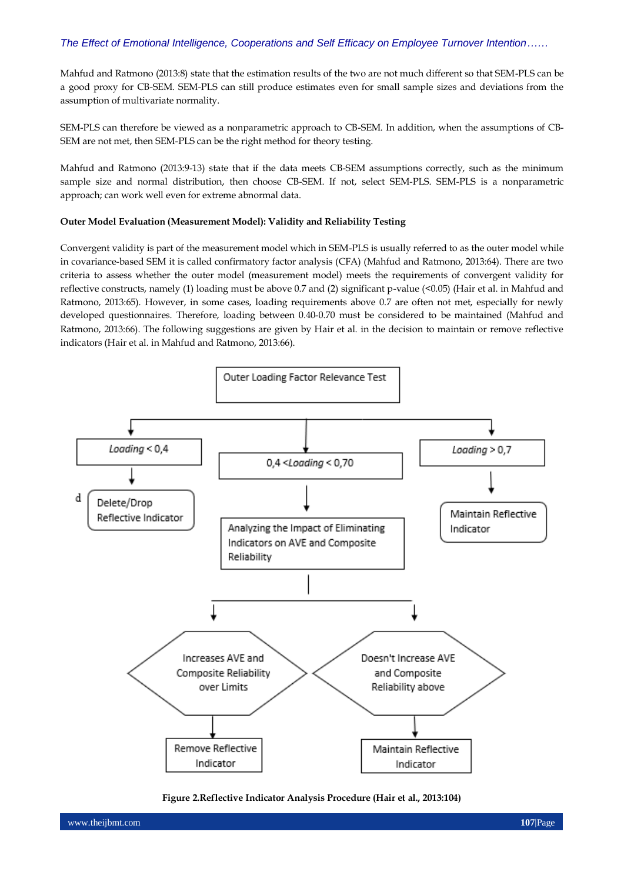Mahfud and Ratmono (2013:8) state that the estimation results of the two are not much different so that SEM-PLS can be a good proxy for CB-SEM. SEM-PLS can still produce estimates even for small sample sizes and deviations from the assumption of multivariate normality.

SEM-PLS can therefore be viewed as a nonparametric approach to CB-SEM. In addition, when the assumptions of CB-SEM are not met, then SEM-PLS can be the right method for theory testing.

Mahfud and Ratmono (2013:9-13) state that if the data meets CB-SEM assumptions correctly, such as the minimum sample size and normal distribution, then choose CB-SEM. If not, select SEM-PLS. SEM-PLS is a nonparametric approach; can work well even for extreme abnormal data.

#### **Outer Model Evaluation (Measurement Model): Validity and Reliability Testing**

Convergent validity is part of the measurement model which in SEM-PLS is usually referred to as the outer model while in covariance-based SEM it is called confirmatory factor analysis (CFA) (Mahfud and Ratmono, 2013:64). There are two criteria to assess whether the outer model (measurement model) meets the requirements of convergent validity for reflective constructs, namely (1) loading must be above 0.7 and (2) significant p-value (<0.05) (Hair et al. in Mahfud and Ratmono, 2013:65). However, in some cases, loading requirements above 0.7 are often not met, especially for newly developed questionnaires. Therefore, loading between 0.40-0.70 must be considered to be maintained (Mahfud and Ratmono, 2013:66). The following suggestions are given by Hair et al. in the decision to maintain or remove reflective indicators (Hair et al. in Mahfud and Ratmono, 2013:66).



**Figure 2.Reflective Indicator Analysis Procedure (Hair et al., 2013:104)**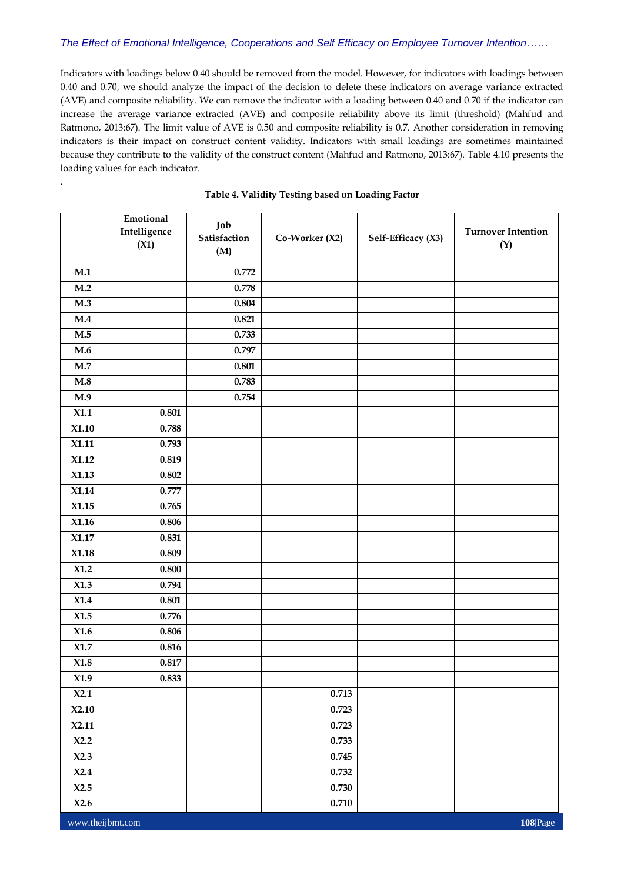Indicators with loadings below 0.40 should be removed from the model. However, for indicators with loadings between 0.40 and 0.70, we should analyze the impact of the decision to delete these indicators on average variance extracted (AVE) and composite reliability. We can remove the indicator with a loading between 0.40 and 0.70 if the indicator can increase the average variance extracted (AVE) and composite reliability above its limit (threshold) (Mahfud and Ratmono, 2013:67). The limit value of AVE is 0.50 and composite reliability is 0.7. Another consideration in removing indicators is their impact on construct content validity. Indicators with small loadings are sometimes maintained because they contribute to the validity of the construct content (Mahfud and Ratmono, 2013:67). Table 4.10 presents the loading values for each indicator.

|                  | Emotional<br>Intelligence<br>(X1) | Job<br>Satisfaction<br>(M) | Co-Worker (X2) | Self-Efficacy (X3) | <b>Turnover Intention</b><br>(Y) |
|------------------|-----------------------------------|----------------------------|----------------|--------------------|----------------------------------|
| M.1              |                                   | 0.772                      |                |                    |                                  |
| M.2              |                                   | 0.778                      |                |                    |                                  |
| M.3              |                                   | 0.804                      |                |                    |                                  |
| M.4              |                                   | 0.821                      |                |                    |                                  |
| M.5              |                                   | 0.733                      |                |                    |                                  |
| M.6              |                                   | 0.797                      |                |                    |                                  |
| M.7              |                                   | 0.801                      |                |                    |                                  |
| M.8              |                                   | 0.783                      |                |                    |                                  |
| M.9              |                                   | 0.754                      |                |                    |                                  |
| X1.1             | 0.801                             |                            |                |                    |                                  |
| X1.10            | 0.788                             |                            |                |                    |                                  |
| X1.11            | 0.793                             |                            |                |                    |                                  |
| X1.12            | 0.819                             |                            |                |                    |                                  |
| X1.13            | 0.802                             |                            |                |                    |                                  |
| X1.14            | 0.777                             |                            |                |                    |                                  |
| X1.15            | 0.765                             |                            |                |                    |                                  |
| X1.16            | 0.806                             |                            |                |                    |                                  |
| X1.17            | 0.831                             |                            |                |                    |                                  |
| X1.18            | 0.809                             |                            |                |                    |                                  |
| X1.2             | $\boldsymbol{0.800}$              |                            |                |                    |                                  |
| X1.3             | 0.794                             |                            |                |                    |                                  |
| $X1.4$           | $\boldsymbol{0.801}$              |                            |                |                    |                                  |
| X1.5             | 0.776                             |                            |                |                    |                                  |
| X1.6             | 0.806                             |                            |                |                    |                                  |
| X1.7             | 0.816                             |                            |                |                    |                                  |
| X1.8             | 0.817                             |                            |                |                    |                                  |
| X1.9             | 0.833                             |                            |                |                    |                                  |
| X2.1             |                                   |                            | 0.713          |                    |                                  |
| X2.10            |                                   |                            | 0.723          |                    |                                  |
| X2.11            |                                   |                            | 0.723          |                    |                                  |
| X2.2             |                                   |                            | 0.733          |                    |                                  |
| X2.3             |                                   |                            | 0.745          |                    |                                  |
| X2.4             |                                   |                            | 0.732          |                    |                                  |
| X2.5             |                                   |                            | 0.730          |                    |                                  |
| X2.6             |                                   |                            | $0.710\,$      |                    |                                  |
| www.theijbmt.com |                                   |                            |                |                    | 108 Page                         |

#### **Table 4. Validity Testing based on Loading Factor**

.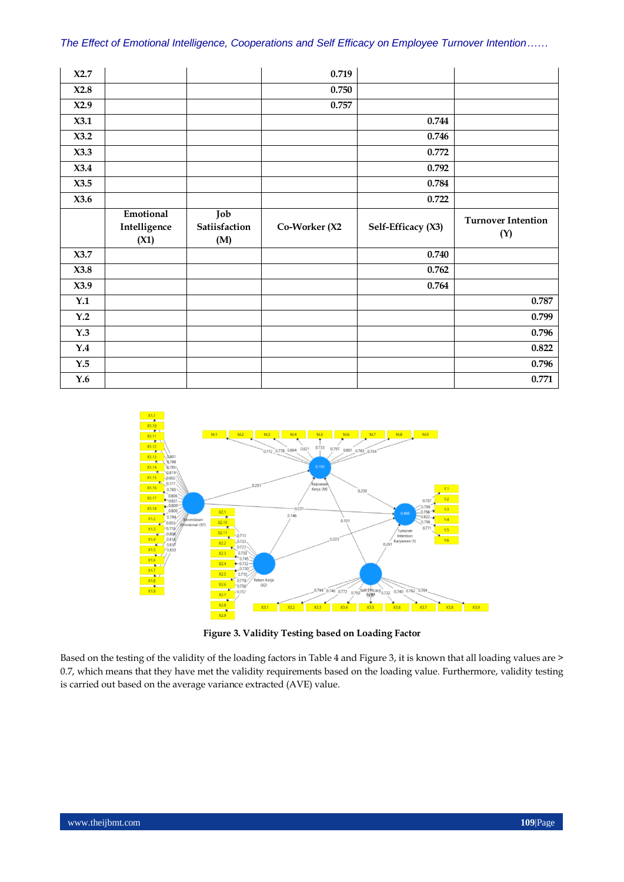| X2.7           |                           |                      | 0.719         |                    |                           |
|----------------|---------------------------|----------------------|---------------|--------------------|---------------------------|
| X2.8           |                           |                      | 0.750         |                    |                           |
| X2.9           |                           |                      | 0.757         |                    |                           |
| X3.1           |                           |                      |               | 0.744              |                           |
| X3.2           |                           |                      |               | 0.746              |                           |
| X3.3           |                           |                      |               | 0.772              |                           |
| X3.4           |                           |                      |               | 0.792              |                           |
| X3.5           |                           |                      |               | 0.784              |                           |
| X3.6           |                           |                      |               | 0.722              |                           |
|                | Emotional<br>Intelligence | Job<br>Satiisfaction | Co-Worker (X2 |                    | <b>Turnover Intention</b> |
|                | (X1)                      | (M)                  |               | Self-Efficacy (X3) | (Y)                       |
| X3.7           |                           |                      |               | 0.740              |                           |
| X3.8           |                           |                      |               | 0.762              |                           |
| X3.9           |                           |                      |               | 0.764              |                           |
| Y.1            |                           |                      |               |                    | 0.787                     |
| Y.2            |                           |                      |               |                    | 0.799                     |
| Y.3            |                           |                      |               |                    | 0.796                     |
| Y.4            |                           |                      |               |                    | 0.822                     |
| $\mathbf{Y.5}$ |                           |                      |               |                    | 0.796                     |



**Figure 3. Validity Testing based on Loading Factor**

Based on the testing of the validity of the loading factors in Table 4 and Figure 3, it is known that all loading values are > 0.7, which means that they have met the validity requirements based on the loading value. Furthermore, validity testing is carried out based on the average variance extracted (AVE) value.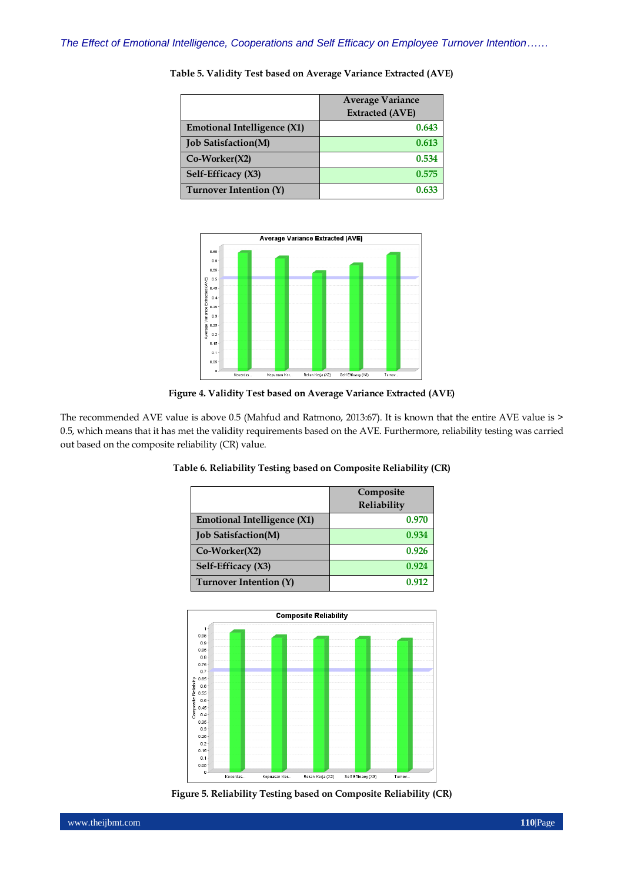|                                    | <b>Average Variance</b> |
|------------------------------------|-------------------------|
|                                    | <b>Extracted (AVE)</b>  |
| <b>Emotional Intelligence (X1)</b> | 0.643                   |
| <b>Job Satisfaction(M)</b>         | 0.613                   |
| $Co-Worker(X2)$                    | 0.534                   |
| Self-Efficacy (X3)                 | 0.575                   |
| Turnover Intention (Y)             | 0.633                   |

**Table 5. Validity Test based on Average Variance Extracted (AVE)**



**Figure 4. Validity Test based on Average Variance Extracted (AVE)**

The recommended AVE value is above 0.5 (Mahfud and Ratmono, 2013:67). It is known that the entire AVE value is > 0.5, which means that it has met the validity requirements based on the AVE. Furthermore, reliability testing was carried out based on the composite reliability (CR) value.

|                                    | Composite<br>Reliability |
|------------------------------------|--------------------------|
| <b>Emotional Intelligence (X1)</b> | 0.970                    |
| <b>Job Satisfaction(M)</b>         | 0.934                    |
| $Co-Worker(X2)$                    | 0.926                    |
| Self-Efficacy (X3)                 | 0.924                    |
| Turnover Intention (Y)             | 0.917                    |

### **Table 6. Reliability Testing based on Composite Reliability (CR)**



**Figure 5. Reliability Testing based on Composite Reliability (CR)**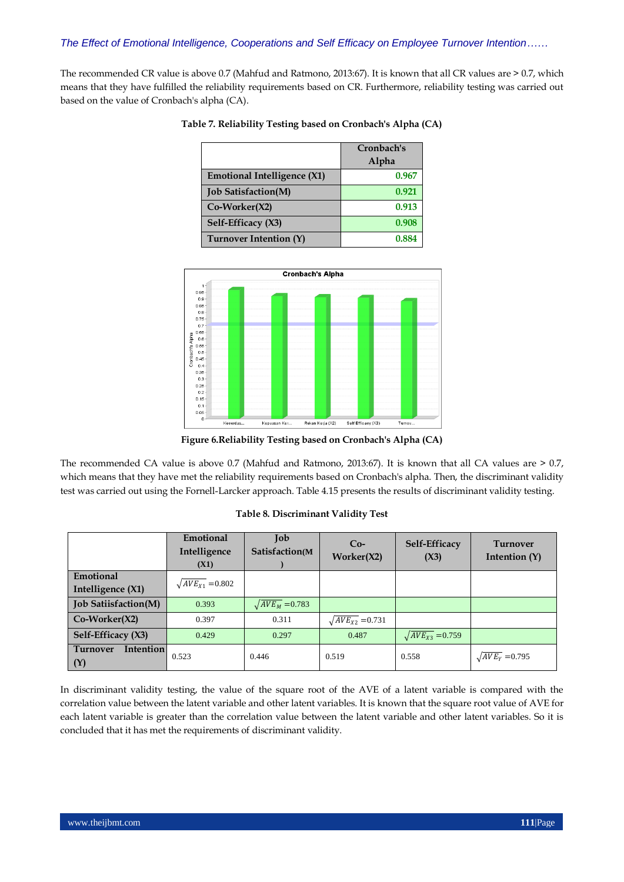The recommended CR value is above 0.7 (Mahfud and Ratmono, 2013:67). It is known that all CR values are > 0.7, which means that they have fulfilled the reliability requirements based on CR. Furthermore, reliability testing was carried out based on the value of Cronbach's alpha (CA).

|                                    | Cronbach's<br>Alpha |
|------------------------------------|---------------------|
| <b>Emotional Intelligence (X1)</b> | 0.967               |
| <b>Job Satisfaction(M)</b>         | 0.921               |
| $Co-Worker(X2)$                    | 0.913               |
| Self-Efficacy (X3)                 | 0.908               |
| <b>Turnover Intention (Y)</b>      | 0.884               |

**Table 7. Reliability Testing based on Cronbach's Alpha (CA)**



**Figure 6.Reliability Testing based on Cronbach's Alpha (CA)**

The recommended CA value is above 0.7 (Mahfud and Ratmono, 2013:67). It is known that all CA values are > 0.7, which means that they have met the reliability requirements based on Cronbach's alpha. Then, the discriminant validity test was carried out using the Fornell-Larcker approach. Table 4.15 presents the results of discriminant validity testing.

## **Table 8. Discriminant Validity Test**

|                                            | Emotional<br>Intelligence<br>(X1) | Job<br>Satisfaction(M | $Co-$<br>Worker(X2)       | Self-Efficacy<br>(X3)     | <b>Turnover</b><br>Intention $(Y)$ |
|--------------------------------------------|-----------------------------------|-----------------------|---------------------------|---------------------------|------------------------------------|
| Emotional                                  |                                   |                       |                           |                           |                                    |
| Intelligence (X1)                          | $\sqrt{AVE_{X1}}$ = 0.802         |                       |                           |                           |                                    |
| <b>Job Satiisfaction(M)</b>                | 0.393                             | $\sqrt{AVE_M}$ =0.783 |                           |                           |                                    |
| $Co-Worker(X2)$                            | 0.397                             | 0.311                 | $\sqrt{AVE_{X2}}$ = 0.731 |                           |                                    |
| Self-Efficacy (X3)                         | 0.429                             | 0.297                 | 0.487                     | $\sqrt{AVE_{X3}}$ = 0.759 |                                    |
| <b>Intention</b><br><b>Turnover</b><br>(Y) | 0.523                             | 0.446                 | 0.519                     | 0.558                     | $\sqrt{AVE_Y}$ = 0.795             |

In discriminant validity testing, the value of the square root of the AVE of a latent variable is compared with the correlation value between the latent variable and other latent variables. It is known that the square root value of AVE for each latent variable is greater than the correlation value between the latent variable and other latent variables. So it is concluded that it has met the requirements of discriminant validity.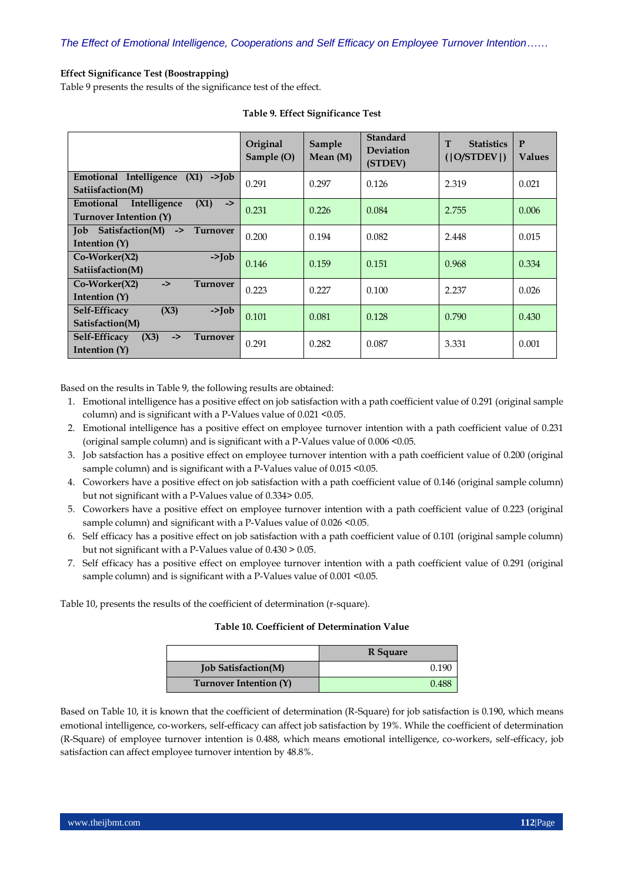## **Effect Significance Test (Boostrapping)**

Table 9 presents the results of the significance test of the effect.

|                                                                              | Original<br>Sample (O) | Sample<br>Mean $(M)$ | <b>Standard</b><br><b>Deviation</b><br>(STDEV) | T<br><b>Statistics</b><br>( O/STDEV ) | P<br><b>Values</b> |
|------------------------------------------------------------------------------|------------------------|----------------------|------------------------------------------------|---------------------------------------|--------------------|
| Emotional Intelligence<br>$\rightarrow$ Tob<br>(X1)<br>Satiisfaction(M)      | 0.291                  | 0.297                | 0.126                                          | 2.319                                 | 0.021              |
| Intelligence<br>Emotional<br>(X1)<br>$\rightarrow$<br>Turnover Intention (Y) | 0.231                  | 0.226                | 0.084                                          | 2.755                                 | 0.006              |
| Satisfaction(M)<br><b>Job</b><br><b>Turnover</b><br>-><br>Intention $(Y)$    | 0.200                  | 0.194                | 0.082                                          | 2.448                                 | 0.015              |
| $Co-Worker(X2)$<br>$\rightarrow$ Tob<br>Satiisfaction(M)                     | 0.146                  | 0.159                | 0.151                                          | 0.968                                 | 0.334              |
| $Co-Worker(X2)$<br><b>Turnover</b><br>$\rightarrow$<br>Intention $(Y)$       | 0.223                  | 0.227                | 0.100                                          | 2.237                                 | 0.026              |
| (X3)<br>Self-Efficacy<br>$\rightarrow$ Tob<br>Satisfaction(M)                | 0.101                  | 0.081                | 0.128                                          | 0.790                                 | 0.430              |
| Self-Efficacy<br>(X3)<br>$\rightarrow$<br>Turnover<br>Intention (Y)          | 0.291                  | 0.282                | 0.087                                          | 3.331                                 | 0.001              |

## **Table 9. Effect Significance Test**

Based on the results in Table 9, the following results are obtained:

- 1. Emotional intelligence has a positive effect on job satisfaction with a path coefficient value of 0.291 (original sample column) and is significant with a P-Values value of 0.021 <0.05.
- 2. Emotional intelligence has a positive effect on employee turnover intention with a path coefficient value of 0.231 (original sample column) and is significant with a P-Values value of 0.006 <0.05.
- 3. Job satsfaction has a positive effect on employee turnover intention with a path coefficient value of 0.200 (original sample column) and is significant with a P-Values value of 0.015 < 0.05.
- 4. Coworkers have a positive effect on job satisfaction with a path coefficient value of 0.146 (original sample column) but not significant with a P-Values value of 0.334> 0.05.
- 5. Coworkers have a positive effect on employee turnover intention with a path coefficient value of 0.223 (original sample column) and significant with a P-Values value of 0.026 < 0.05.
- 6. Self efficacy has a positive effect on job satisfaction with a path coefficient value of 0.101 (original sample column) but not significant with a P-Values value of 0.430 > 0.05.
- 7. Self efficacy has a positive effect on employee turnover intention with a path coefficient value of 0.291 (original sample column) and is significant with a P-Values value of 0.001 < 0.05.

Table 10, presents the results of the coefficient of determination (r-square).

#### **Table 10. Coefficient of Determination Value**

|                            | R Square |
|----------------------------|----------|
| <b>Job Satisfaction(M)</b> | (119).   |
| Turnover Intention (Y)     | 0.488    |

Based on Table 10, it is known that the coefficient of determination (R-Square) for job satisfaction is 0.190, which means emotional intelligence, co-workers, self-efficacy can affect job satisfaction by 19%. While the coefficient of determination (R-Square) of employee turnover intention is 0.488, which means emotional intelligence, co-workers, self-efficacy, job satisfaction can affect employee turnover intention by 48.8%.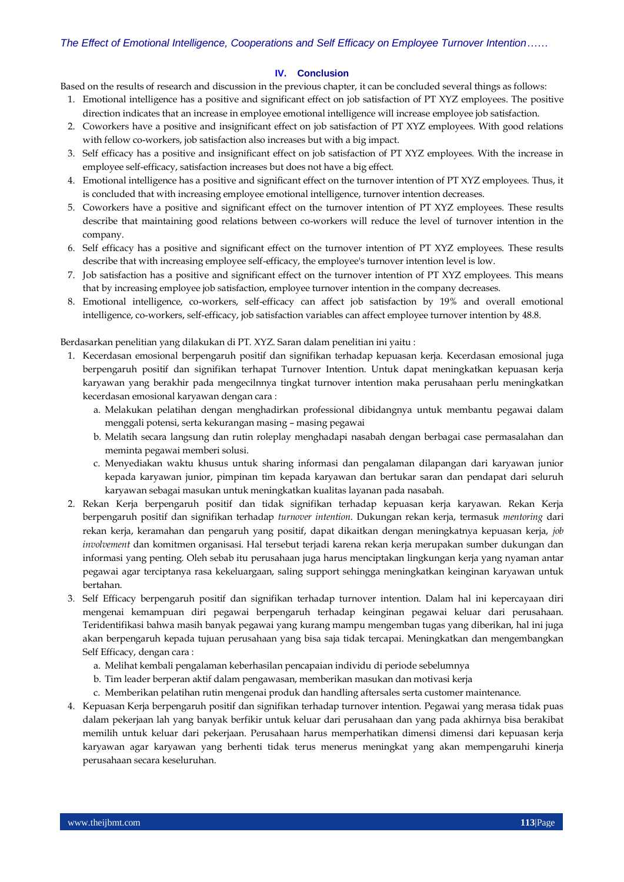#### **IV. Conclusion**

Based on the results of research and discussion in the previous chapter, it can be concluded several things as follows:

- 1. Emotional intelligence has a positive and significant effect on job satisfaction of PT XYZ employees. The positive direction indicates that an increase in employee emotional intelligence will increase employee job satisfaction.
- 2. Coworkers have a positive and insignificant effect on job satisfaction of PT XYZ employees. With good relations with fellow co-workers, job satisfaction also increases but with a big impact.
- 3. Self efficacy has a positive and insignificant effect on job satisfaction of PT XYZ employees. With the increase in employee self-efficacy, satisfaction increases but does not have a big effect.
- 4. Emotional intelligence has a positive and significant effect on the turnover intention of PT XYZ employees. Thus, it is concluded that with increasing employee emotional intelligence, turnover intention decreases.
- 5. Coworkers have a positive and significant effect on the turnover intention of PT XYZ employees. These results describe that maintaining good relations between co-workers will reduce the level of turnover intention in the company.
- 6. Self efficacy has a positive and significant effect on the turnover intention of PT XYZ employees. These results describe that with increasing employee self-efficacy, the employee's turnover intention level is low.
- 7. Job satisfaction has a positive and significant effect on the turnover intention of PT XYZ employees. This means that by increasing employee job satisfaction, employee turnover intention in the company decreases.
- 8. Emotional intelligence, co-workers, self-efficacy can affect job satisfaction by 19% and overall emotional intelligence, co-workers, self-efficacy, job satisfaction variables can affect employee turnover intention by 48.8.

Berdasarkan penelitian yang dilakukan di PT. XYZ. Saran dalam penelitian ini yaitu :

- 1. Kecerdasan emosional berpengaruh positif dan signifikan terhadap kepuasan kerja. Kecerdasan emosional juga berpengaruh positif dan signifikan terhapat Turnover Intention. Untuk dapat meningkatkan kepuasan kerja karyawan yang berakhir pada mengecilnnya tingkat turnover intention maka perusahaan perlu meningkatkan kecerdasan emosional karyawan dengan cara :
	- a. Melakukan pelatihan dengan menghadirkan professional dibidangnya untuk membantu pegawai dalam menggali potensi, serta kekurangan masing – masing pegawai
	- b. Melatih secara langsung dan rutin roleplay menghadapi nasabah dengan berbagai case permasalahan dan meminta pegawai memberi solusi.
	- c. Menyediakan waktu khusus untuk sharing informasi dan pengalaman dilapangan dari karyawan junior kepada karyawan junior, pimpinan tim kepada karyawan dan bertukar saran dan pendapat dari seluruh karyawan sebagai masukan untuk meningkatkan kualitas layanan pada nasabah.
- 2. Rekan Kerja berpengaruh positif dan tidak signifikan terhadap kepuasan kerja karyawan. Rekan Kerja berpengaruh positif dan signifikan terhadap *turnover intention*. Dukungan rekan kerja, termasuk *mentoring* dari rekan kerja, keramahan dan pengaruh yang positif, dapat dikaitkan dengan meningkatnya kepuasan kerja, *job involvement* dan komitmen organisasi. Hal tersebut terjadi karena rekan kerja merupakan sumber dukungan dan informasi yang penting. Oleh sebab itu perusahaan juga harus menciptakan lingkungan kerja yang nyaman antar pegawai agar terciptanya rasa kekeluargaan, saling support sehingga meningkatkan keinginan karyawan untuk bertahan.
- 3. Self Efficacy berpengaruh positif dan signifikan terhadap turnover intention. Dalam hal ini kepercayaan diri mengenai kemampuan diri pegawai berpengaruh terhadap keinginan pegawai keluar dari perusahaan. Teridentifikasi bahwa masih banyak pegawai yang kurang mampu mengemban tugas yang diberikan, hal ini juga akan berpengaruh kepada tujuan perusahaan yang bisa saja tidak tercapai. Meningkatkan dan mengembangkan Self Efficacy, dengan cara :
	- a. Melihat kembali pengalaman keberhasilan pencapaian individu di periode sebelumnya
	- b. Tim leader berperan aktif dalam pengawasan, memberikan masukan dan motivasi kerja
	- c. Memberikan pelatihan rutin mengenai produk dan handling aftersales serta customer maintenance.
- 4. Kepuasan Kerja berpengaruh positif dan signifikan terhadap turnover intention. Pegawai yang merasa tidak puas dalam pekerjaan lah yang banyak berfikir untuk keluar dari perusahaan dan yang pada akhirnya bisa berakibat memilih untuk keluar dari pekerjaan. Perusahaan harus memperhatikan dimensi dimensi dari kepuasan kerja karyawan agar karyawan yang berhenti tidak terus menerus meningkat yang akan mempengaruhi kinerja perusahaan secara keseluruhan.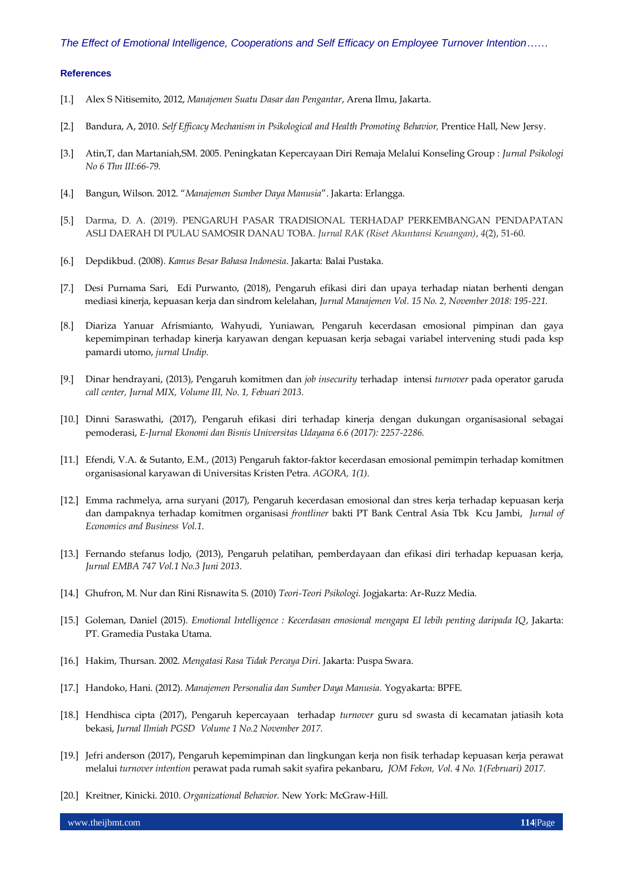#### **References**

- [1.] Alex S Nitisemito, 2012, *Manajemen Suatu Dasar dan Pengantar*, Arena Ilmu, Jakarta.
- [2.] Bandura, A, 2010. *Self Efficacy Mechanism in Psikological and Health Promoting Behavior,* Prentice Hall, New Jersy.
- [3.] Atin,T, dan Martaniah,SM. 2005. Peningkatan Kepercayaan Diri Remaja Melalui Konseling Group : *Jurnal Psikologi No 6 Thn III:66-79.*
- [4.] Bangun, Wilson. 2012. "*Manajemen Sumber Daya Manusia*". Jakarta: Erlangga.
- [5.] Darma, D. A. (2019). PENGARUH PASAR TRADISIONAL TERHADAP PERKEMBANGAN PENDAPATAN ASLI DAERAH DI PULAU SAMOSIR DANAU TOBA. *Jurnal RAK (Riset Akuntansi Keuangan)*, *4*(2), 51-60.
- [6.] Depdikbud. (2008). *Kamus Besar Bahasa Indonesia*. Jakarta: Balai Pustaka.
- [7.] Desi Purnama Sari, Edi Purwanto, (2018), Pengaruh efikasi diri dan upaya terhadap niatan berhenti dengan mediasi kinerja, kepuasan kerja dan sindrom kelelahan, *Jurnal Manajemen Vol. 15 No. 2, November 2018: 195-221.*
- [8.] Diariza Yanuar Afrismianto, Wahyudi, Yuniawan, Pengaruh kecerdasan emosional pimpinan dan gaya kepemimpinan terhadap kinerja karyawan dengan kepuasan kerja sebagai variabel intervening studi pada ksp pamardi utomo, *jurnal Undip.*
- [9.] Dinar hendrayani, (2013), Pengaruh komitmen dan *job insecurity* terhadap intensi *turnover* pada operator garuda *call center, Jurnal MIX, Volume III, No. 1, Febuari 2013.*
- [10.] Dinni Saraswathi, (2017), Pengaruh efikasi diri terhadap kinerja dengan dukungan organisasional sebagai pemoderasi, *E-Jurnal Ekonomi dan Bisnis Universitas Udayana 6.6 (2017): 2257-2286.*
- [11.] Efendi, V.A. & Sutanto, E.M., (2013) Pengaruh faktor-faktor kecerdasan emosional pemimpin terhadap komitmen organisasional karyawan di Universitas Kristen Petra. *AGORA, 1(1).*
- [12.] Emma rachmelya, arna suryani (2017), Pengaruh kecerdasan emosional dan stres kerja terhadap kepuasan kerja dan dampaknya terhadap komitmen organisasi *frontliner* bakti PT Bank Central Asia Tbk Kcu Jambi, *Jurnal of Economics and Business Vol.1.*
- [13.] Fernando stefanus lodjo, (2013), Pengaruh pelatihan, pemberdayaan dan efikasi diri terhadap kepuasan kerja, *Jurnal EMBA 747 Vol.1 No.3 Juni 2013.*
- [14.] Ghufron, M. Nur dan Rini Risnawita S. (2010) *Teori-Teori Psikologi.* Jogjakarta: Ar-Ruzz Media.
- [15.] Goleman, Daniel (2015). *Emotional Intelligence : Kecerdasan emosional mengapa EI lebih penting daripada IQ*, Jakarta: PT. Gramedia Pustaka Utama.
- [16.] Hakim, Thursan. 2002. *Mengatasi Rasa Tidak Percaya Diri*. Jakarta: Puspa Swara.
- [17.] Handoko, Hani. (2012). *Manajemen Personalia dan Sumber Daya Manusia.* Yogyakarta: BPFE.
- [18.] Hendhisca cipta (2017), Pengaruh kepercayaan terhadap *turnover* guru sd swasta di kecamatan jatiasih kota bekasi, *Jurnal Ilmiah PGSD Volume 1 No.2 November 2017.*
- [19.] Jefri anderson (2017), Pengaruh kepemimpinan dan lingkungan kerja non fisik terhadap kepuasan kerja perawat melalui *turnover intention* perawat pada rumah sakit syafira pekanbaru, *JOM Fekon, Vol. 4 No. 1(Februari) 2017.*
- [20.] Kreitner, Kinicki. 2010. *Organizational Behavior.* New York: McGraw-Hill.

www.theijbmt.com **114**|Page **114**|Page **114**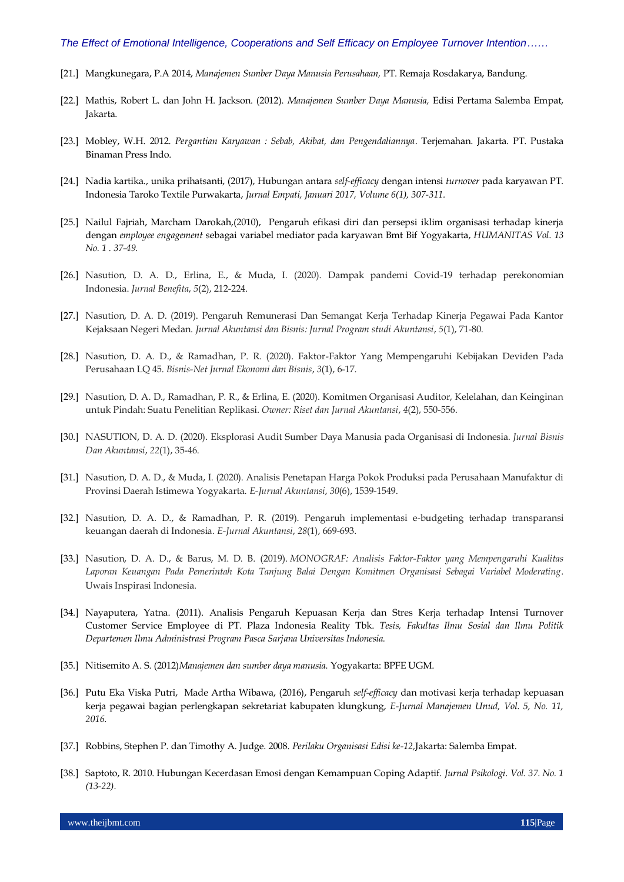- [21.] Mangkunegara, P.A 2014, *Manajemen Sumber Daya Manusia Perusahaan,* PT. Remaja Rosdakarya, Bandung.
- [22.] Mathis, Robert L. dan John H. Jackson. (2012). *Manajemen Sumber Daya Manusia,* Edisi Pertama Salemba Empat, Jakarta.
- [23.] Mobley, W.H. 2012. *Pergantian Karyawan : Sebab, Akibat, dan Pengendaliannya*. Terjemahan. Jakarta. PT. Pustaka Binaman Press Indo.
- [24.] Nadia kartika., unika prihatsanti, (2017), Hubungan antara *self-efficacy* dengan intensi *turnover* pada karyawan PT. Indonesia Taroko Textile Purwakarta, *Jurnal Empati, Januari 2017, Volume 6(1), 307-311.*
- [25.] Nailul Fajriah, Marcham Darokah,(2010), Pengaruh efikasi diri dan persepsi iklim organisasi terhadap kinerja dengan *employee engagement* sebagai variabel mediator pada karyawan Bmt Bif Yogyakarta, *HUMANITAS Vol. 13 No. 1 . 37-49.*
- [26.] Nasution, D. A. D., Erlina, E., & Muda, I. (2020). Dampak pandemi Covid-19 terhadap perekonomian Indonesia. *Jurnal Benefita*, *5*(2), 212-224.
- [27.] Nasution, D. A. D. (2019). Pengaruh Remunerasi Dan Semangat Kerja Terhadap Kinerja Pegawai Pada Kantor Kejaksaan Negeri Medan. *Jurnal Akuntansi dan Bisnis: Jurnal Program studi Akuntansi*, *5*(1), 71-80.
- [28.] Nasution, D. A. D., & Ramadhan, P. R. (2020). Faktor-Faktor Yang Mempengaruhi Kebijakan Deviden Pada Perusahaan LQ 45. *Bisnis-Net Jurnal Ekonomi dan Bisnis*, *3*(1), 6-17.
- [29.] Nasution, D. A. D., Ramadhan, P. R., & Erlina, E. (2020). Komitmen Organisasi Auditor, Kelelahan, dan Keinginan untuk Pindah: Suatu Penelitian Replikasi. *Owner: Riset dan Jurnal Akuntansi*, *4*(2), 550-556.
- [30.] NASUTION, D. A. D. (2020). Eksplorasi Audit Sumber Daya Manusia pada Organisasi di Indonesia. *Jurnal Bisnis Dan Akuntansi*, *22*(1), 35-46.
- [31.] Nasution, D. A. D., & Muda, I. (2020). Analisis Penetapan Harga Pokok Produksi pada Perusahaan Manufaktur di Provinsi Daerah Istimewa Yogyakarta. *E-Jurnal Akuntansi*, *30*(6), 1539-1549.
- [32.] Nasution, D. A. D., & Ramadhan, P. R. (2019). Pengaruh implementasi e-budgeting terhadap transparansi keuangan daerah di Indonesia. *E-Jurnal Akuntansi*, *28*(1), 669-693.
- [33.] Nasution, D. A. D., & Barus, M. D. B. (2019). *MONOGRAF: Analisis Faktor-Faktor yang Mempengaruhi Kualitas Laporan Keuangan Pada Pemerintah Kota Tanjung Balai Dengan Komitmen Organisasi Sebagai Variabel Moderating*. Uwais Inspirasi Indonesia.
- [34.] Nayaputera, Yatna. (2011). Analisis Pengaruh Kepuasan Kerja dan Stres Kerja terhadap Intensi Turnover Customer Service Employee di PT. Plaza Indonesia Reality Tbk. *Tesis, Fakultas Ilmu Sosial dan Ilmu Politik Departemen Ilmu Administrasi Program Pasca Sarjana Universitas Indonesia.*
- [35.] Nitisemito A. S. (2012)*Manajemen dan sumber daya manusia.* Yogyakarta: BPFE UGM.
- [36.] Putu Eka Viska Putri, Made Artha Wibawa, (2016), Pengaruh *self-efficacy* dan motivasi kerja terhadap kepuasan kerja pegawai bagian perlengkapan sekretariat kabupaten klungkung, *E-Jurnal Manajemen Unud, Vol. 5, No. 11, 2016.*
- [37.] Robbins, Stephen P. dan Timothy A. Judge. 2008. *Perilaku Organisasi Edisi ke-12,*Jakarta: Salemba Empat.
- [38.] Saptoto, R. 2010. Hubungan Kecerdasan Emosi dengan Kemampuan Coping Adaptif. *Jurnal Psikologi. Vol. 37. No. 1 (13-22).*